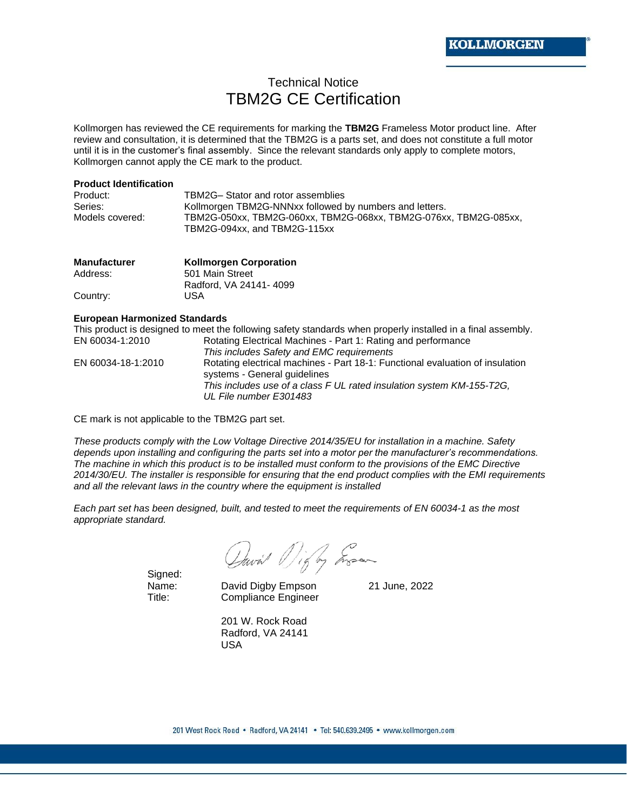## Technical Notice TBM2G CE Certification

Kollmorgen has reviewed the CE requirements for marking the **TBM2G** Frameless Motor product line. After review and consultation, it is determined that the TBM2G is a parts set, and does not constitute a full motor until it is in the customer's final assembly. Since the relevant standards only apply to complete motors, Kollmorgen cannot apply the CE mark to the product.

## **Product Identification**

| Product:        | TBM2G- Stator and rotor assemblies                               |
|-----------------|------------------------------------------------------------------|
| Series:         | Kollmorgen TBM2G-NNNxx followed by numbers and letters.          |
| Models covered: | TBM2G-050xx, TBM2G-060xx, TBM2G-068xx, TBM2G-076xx, TBM2G-085xx, |
|                 | TBM2G-094xx, and TBM2G-115xx                                     |

| <b>Manufacturer</b> | <b>Kollmorgen Corporation</b> |  |  |  |  |  |
|---------------------|-------------------------------|--|--|--|--|--|
| Address:            | 501 Main Street               |  |  |  |  |  |
|                     | Radford, VA 24141-4099        |  |  |  |  |  |
| Country:            | USA                           |  |  |  |  |  |

## **European Harmonized Standards**

This product is designed to meet the following safety standards when properly installed in a final assembly. EN 60034-1:2010 Rotating Electrical Machines - Part 1: Rating and performance *This includes Safety and EMC requirements* EN 60034-18-1:2010 Rotating electrical machines - Part 18-1: Functional evaluation of insulation systems - General guidelines *This includes use of a class F UL rated insulation system KM-155-T2G, UL File number E301483*

CE mark is not applicable to the TBM2G part set.

*These products comply with the Low Voltage Directive 2014/35/EU for installation in a machine. Safety depends upon installing and configuring the parts set into a motor per the manufacturer's recommendations. The machine in which this product is to be installed must conform to the provisions of the EMC Directive 2014/30/EU. The installer is responsible for ensuring that the end product complies with the EMI requirements and all the relevant laws in the country where the equipment is installed* 

*Each part set has been designed, built, and tested to meet the requirements of EN 60034-1 as the most appropriate standard.*

David Dig by Engan

Signed:<br>Name:

David Digby Empson 21 June, 2022 Title: Compliance Engineer

201 W. Rock Road Radford, VA 24141 USA